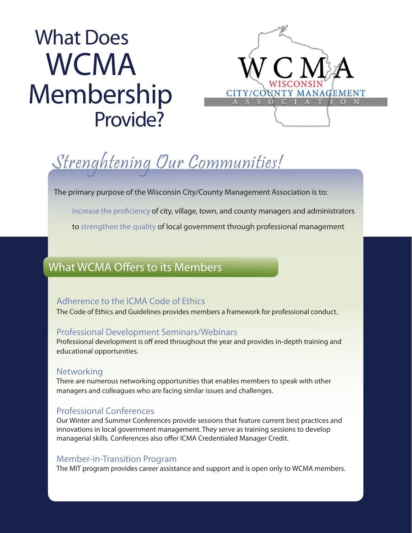# What Does **WCMA** Membership Provide?



## Strenghtening Our Communities!

The primary purpose of the Wisconsin City/County Management Association is to:

increase the proficiency of city, village, town, and county managers and administrators

to strengthen the quality of local government through professional management

### What WCMA Offers to its Members

#### Adherence to the ICMA Code of Ethics

The Code of Ethics and Guidelines provides members a framework for professional conduct.

#### Professional Development Seminars/Webinars

Professional development is off ered throughout the year and provides in-depth training and educational opportunities.

#### **Networking**

There are numerous networking opportunities that enables members to speak with other managers and colleagues who are facing similar issues and challenges.

#### Professional Conferences

Our Winter and Summer Conferences provide sessions that feature current best practices and innovations in local government management. They serve as training sessions to develop managerial skills. Conferences also offer ICMA Credentialed Manager Credit.

#### Member-in-Transition Program

The MIT program provides career assistance and support and is open only to WCMA members.